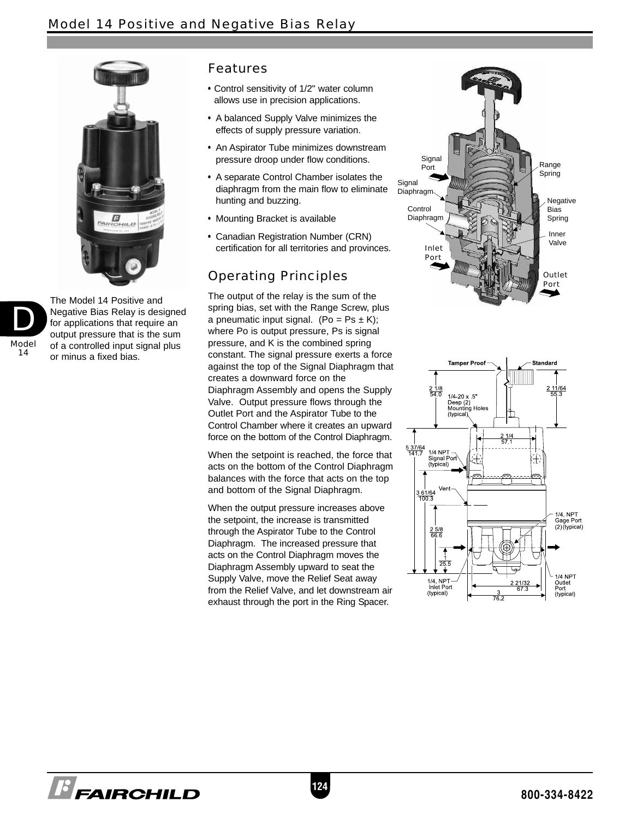



The Model 14 Positive and Negative Bias Relay is designed for applications that require an output pressure that is the sum of a controlled input signal plus or minus a fixed bias.

## Features

- Control sensitivity of 1/2" water column allows use in precision applications.
- A balanced Supply Valve minimizes the effects of supply pressure variation.
- An Aspirator Tube minimizes downstream pressure droop under flow conditions.
- A separate Control Chamber isolates the diaphragm from the main flow to eliminate hunting and buzzing.
- Mounting Bracket is available
- Canadian Registration Number (CRN) certification for all territories and provinces.

# Operating Principles

The output of the relay is the sum of the spring bias, set with the Range Screw, plus a pneumatic input signal. (Po =  $Ps \pm K$ ); where Po is output pressure, Ps is signal pressure, and K is the combined spring constant. The signal pressure exerts a force against the top of the Signal Diaphragm that creates a downward force on the Diaphragm Assembly and opens the Supply Valve. Output pressure flows through the Outlet Port and the Aspirator Tube to the Control Chamber where it creates an upward force on the bottom of the Control Diaphragm.

When the setpoint is reached, the force that acts on the bottom of the Control Diaphragm balances with the force that acts on the top and bottom of the Signal Diaphragm.

When the output pressure increases above the setpoint, the increase is transmitted through the Aspirator Tube to the Control Diaphragm. The increased pressure that acts on the Control Diaphragm moves the Diaphragm Assembly upward to seat the Supply Valve, move the Relief Seat away from the Relief Valve, and let downstream air exhaust through the port in the Ring Spacer.